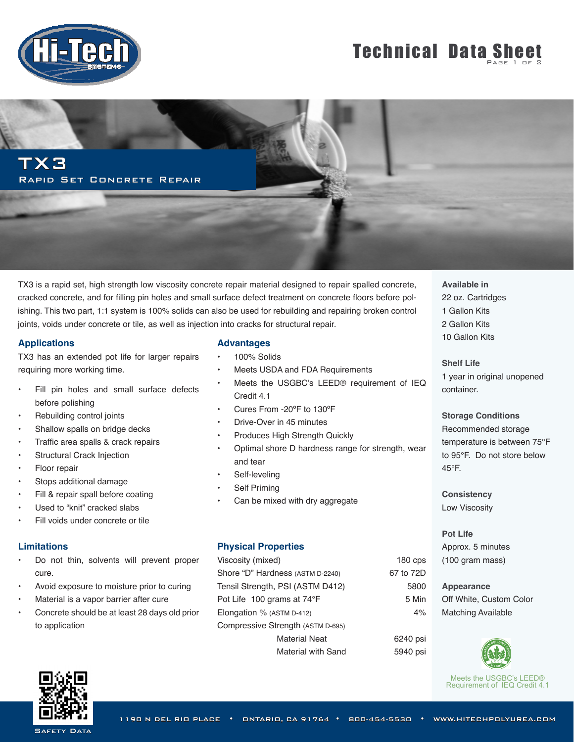

# **Technical Data Sheet**

TX3 Rapid Set Concrete Repair

TX3 is a rapid set, high strength low viscosity concrete repair material designed to repair spalled concrete, cracked concrete, and for filling pin holes and small surface defect treatment on concrete floors before polishing. This two part, 1:1 system is 100% solids can also be used for rebuilding and repairing broken control joints, voids under concrete or tile, as well as injection into cracks for structural repair.

#### **Applications**

TX3 has an extended pot life for larger repairs requiring more working time.

- Fill pin holes and small surface defects before polishing
- Rebuilding control joints
- Shallow spalls on bridge decks
- Traffic area spalls & crack repairs
- **Structural Crack Injection**
- Floor repair
- Stops additional damage
- Fill & repair spall before coating
- Used to "knit" cracked slabs
- Fill voids under concrete or tile

#### **Limitations**

- Do not thin, solvents will prevent proper cure.
- Avoid exposure to moisture prior to curing
- Material is a vapor barrier after cure
- Concrete should be at least 28 days old prior to application

### **Advantages**

- 100% Solids
- Meets USDA and FDA Requirements
- Meets the USGBC's LEED® requirement of IEQ Credit 4.1
- Cures From -20ºF to 130ºF
- Drive-Over in 45 minutes
- Produces High Strength Quickly
- Optimal shore D hardness range for strength, wear and tear
- Self-leveling
- Self Priming
- Can be mixed with dry aggregate

#### **Physical Properties**

Viscosity (mixed) Shore "D" Hardness (ASTM D-2240) Tensil Strength, PSI (ASTM D412) Pot Life 100 grams at 74°F Elongation % (ASTM D-412) Compressive Strength (ASTM D-695) Material Neat Material with Sand **Available in** 22 oz. Cartridges 1 Gallon Kits 2 Gallon Kits 10 Gallon Kits

**Shelf Life**  1 year in original unopened container.

**Storage Conditions** Recommended storage temperature is between 75°F to 95°F. Do not store below 45°F.

**Consistency** Low Viscosity

180 cps 67 to 72D 5800 5 Min 4%

> 6240 psi 5940 psi

**Pot Life** Approx. 5 minutes (100 gram mass)

**Appearance** Off White, Custom Color Matching Available



Meets the USGBC's LEED® Requirement of IEQ Credit 4.1